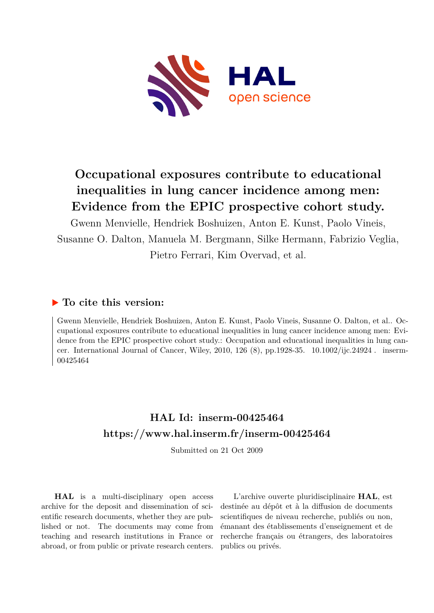

# **Occupational exposures contribute to educational inequalities in lung cancer incidence among men: Evidence from the EPIC prospective cohort study.**

Gwenn Menvielle, Hendriek Boshuizen, Anton E. Kunst, Paolo Vineis, Susanne O. Dalton, Manuela M. Bergmann, Silke Hermann, Fabrizio Veglia, Pietro Ferrari, Kim Overvad, et al.

## **To cite this version:**

Gwenn Menvielle, Hendriek Boshuizen, Anton E. Kunst, Paolo Vineis, Susanne O. Dalton, et al.. Occupational exposures contribute to educational inequalities in lung cancer incidence among men: Evidence from the EPIC prospective cohort study.: Occupation and educational inequalities in lung cancer. International Journal of Cancer, Wiley, 2010, 126  $(8)$ , pp.1928-35. 10.1002/ijc.24924. inserm-00425464

## **HAL Id: inserm-00425464 <https://www.hal.inserm.fr/inserm-00425464>**

Submitted on 21 Oct 2009

**HAL** is a multi-disciplinary open access archive for the deposit and dissemination of scientific research documents, whether they are published or not. The documents may come from teaching and research institutions in France or abroad, or from public or private research centers.

L'archive ouverte pluridisciplinaire **HAL**, est destinée au dépôt et à la diffusion de documents scientifiques de niveau recherche, publiés ou non, émanant des établissements d'enseignement et de recherche français ou étrangers, des laboratoires publics ou privés.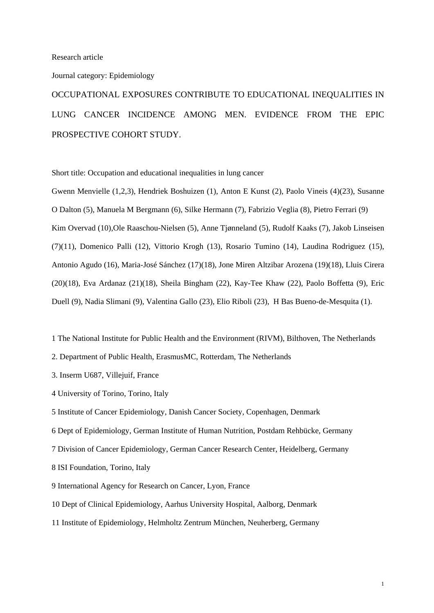## Journal category: Epidemiology

OCCUPATIONAL EXPOSURES CONTRIBUTE TO EDUCATIONAL INEQUALITIES IN LUNG CANCER INCIDENCE AMONG MEN. EVIDENCE FROM THE EPIC PROSPECTIVE COHORT STUDY.

Short title: Occupation and educational inequalities in lung cancer

Gwenn Menvielle (1,2,3), Hendriek Boshuizen (1), Anton E Kunst (2), Paolo Vineis (4)(23), Susanne O Dalton (5), Manuela M Bergmann (6), Silke Hermann (7), Fabrizio Veglia (8), Pietro Ferrari (9) Kim Overvad (10),Ole Raaschou-Nielsen (5), Anne Tjønneland (5), Rudolf Kaaks (7), Jakob Linseisen (7)(11), Domenico Palli (12), Vittorio Krogh (13), Rosario Tumino (14), Laudina Rodriguez (15), Antonio Agudo (16), Maria-José Sánchez (17)(18), Jone Miren Altzibar Arozena (19)(18), Lluis Cirera (20)(18), Eva Ardanaz (21)(18), Sheila Bingham (22), Kay-Tee Khaw (22), Paolo Boffetta (9), Eric Duell (9), Nadia Slimani (9), Valentina Gallo (23), Elio Riboli (23), H Bas Bueno-de-Mesquita (1).

- 1 The National Institute for Public Health and the Environment (RIVM), Bilthoven, The Netherlands
- 2. Department of Public Health, ErasmusMC, Rotterdam, The Netherlands
- 3. Inserm U687, Villejuif, France
- 4 University of Torino, Torino, Italy
- 5 Institute of Cancer Epidemiology, Danish Cancer Society, Copenhagen, Denmark

6 Dept of Epidemiology, German Institute of Human Nutrition, Postdam Rehbücke, Germany

- 7 Division of Cancer Epidemiology, German Cancer Research Center, Heidelberg, Germany
- 8 ISI Foundation, Torino, Italy
- 9 International Agency for Research on Cancer, Lyon, France
- 10 Dept of Clinical Epidemiology, Aarhus University Hospital, Aalborg, Denmark
- 11 Institute of Epidemiology, Helmholtz Zentrum München, Neuherberg, Germany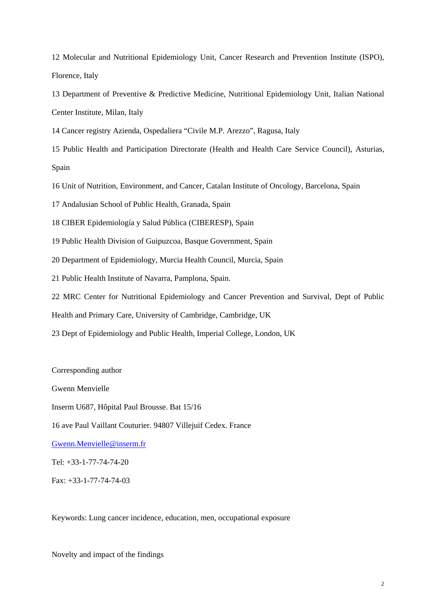12 Molecular and Nutritional Epidemiology Unit, Cancer Research and Prevention Institute (ISPO), Florence, Italy

13 Department of Preventive & Predictive Medicine, Nutritional Epidemiology Unit, Italian National Center Institute, Milan, Italy

14 Cancer registry Azienda, Ospedaliera "Civile M.P. Arezzo", Ragusa, Italy

15 Public Health and Participation Directorate (Health and Health Care Service Council), Asturias, Spain

16 Unit of Nutrition, Environment, and Cancer, Catalan Institute of Oncology, Barcelona, Spain

17 Andalusian School of Public Health, Granada, Spain

18 CIBER Epidemiología y Salud Pública (CIBERESP), Spain

19 Public Health Division of Guipuzcoa, Basque Government, Spain

20 Department of Epidemiology, Murcia Health Council, Murcia, Spain

21 Public Health Institute of Navarra, Pamplona, Spain.

22 MRC Center for Nutritional Epidemiology and Cancer Prevention and Survival, Dept of Public

Health and Primary Care, University of Cambridge, Cambridge, UK

23 Dept of Epidemiology and Public Health, Imperial College, London, UK

Corresponding author Gwenn Menvielle Inserm U687, Hôpital Paul Brousse. Bat 15/16 16 ave Paul Vaillant Couturier. 94807 Villejuif Cedex. France Gwenn.Menvielle@inserm.fr Tel: +33-1-77-74-74-20

Fax: +33-1-77-74-74-03

Keywords: Lung cancer incidence, education, men, occupational exposure

Novelty and impact of the findings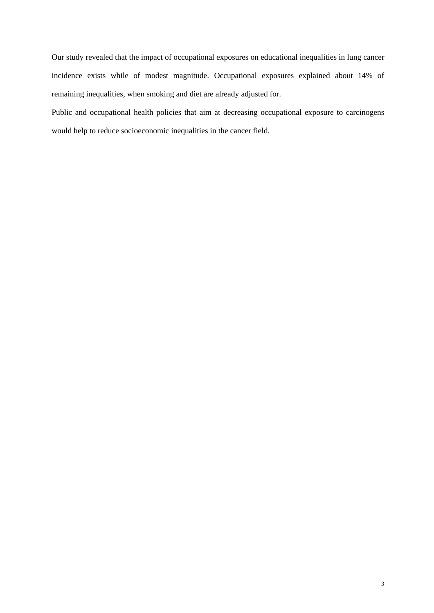Our study revealed that the impact of occupational exposures on educational inequalities in lung cancer incidence exists while of modest magnitude. Occupational exposures explained about 14% of remaining inequalities, when smoking and diet are already adjusted for.

Public and occupational health policies that aim at decreasing occupational exposure to carcinogens would help to reduce socioeconomic inequalities in the cancer field.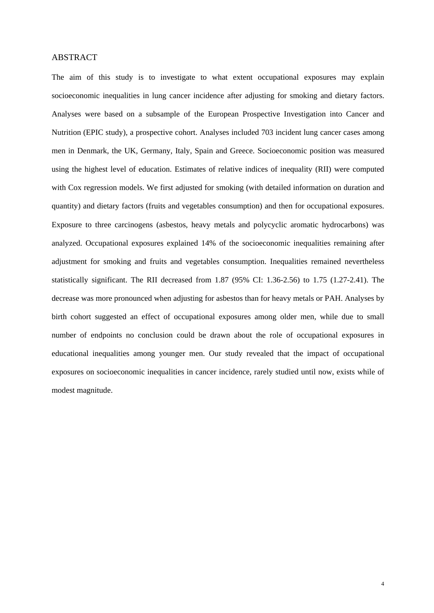## ABSTRACT

The aim of this study is to investigate to what extent occupational exposures may explain socioeconomic inequalities in lung cancer incidence after adjusting for smoking and dietary factors. Analyses were based on a subsample of the European Prospective Investigation into Cancer and Nutrition (EPIC study), a prospective cohort. Analyses included 703 incident lung cancer cases among men in Denmark, the UK, Germany, Italy, Spain and Greece. Socioeconomic position was measured using the highest level of education. Estimates of relative indices of inequality (RII) were computed with Cox regression models. We first adjusted for smoking (with detailed information on duration and quantity) and dietary factors (fruits and vegetables consumption) and then for occupational exposures. Exposure to three carcinogens (asbestos, heavy metals and polycyclic aromatic hydrocarbons) was analyzed. Occupational exposures explained 14% of the socioeconomic inequalities remaining after adjustment for smoking and fruits and vegetables consumption. Inequalities remained nevertheless statistically significant. The RII decreased from 1.87 (95% CI: 1.36-2.56) to 1.75 (1.27-2.41). The decrease was more pronounced when adjusting for asbestos than for heavy metals or PAH. Analyses by birth cohort suggested an effect of occupational exposures among older men, while due to small number of endpoints no conclusion could be drawn about the role of occupational exposures in educational inequalities among younger men. Our study revealed that the impact of occupational exposures on socioeconomic inequalities in cancer incidence, rarely studied until now, exists while of modest magnitude.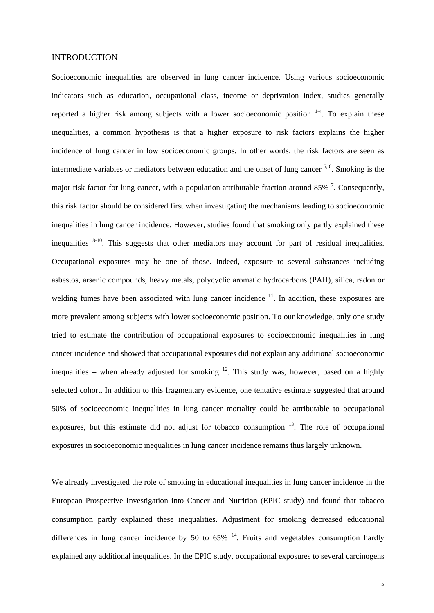### INTRODUCTION

Socioeconomic inequalities are observed in lung cancer incidence. Using various socioeconomic indicators such as education, occupational class, income or deprivation index, studies generally reported a higher risk among subjects with a lower socioeconomic position  $1-4$ . To explain these inequalities, a common hypothesis is that a higher exposure to risk factors explains the higher incidence of lung cancer in low socioeconomic groups. In other words, the risk factors are seen as intermediate variables or mediators between education and the onset of lung cancer 5, 6. Smoking is the major risk factor for lung cancer, with a population attributable fraction around 85%  $^7$ . Consequently, this risk factor should be considered first when investigating the mechanisms leading to socioeconomic inequalities in lung cancer incidence. However, studies found that smoking only partly explained these inequalities  $8-10$ . This suggests that other mediators may account for part of residual inequalities. Occupational exposures may be one of those. Indeed, exposure to several substances including asbestos, arsenic compounds, heavy metals, polycyclic aromatic hydrocarbons (PAH), silica, radon or welding fumes have been associated with lung cancer incidence  $11$ . In addition, these exposures are more prevalent among subjects with lower socioeconomic position. To our knowledge, only one study tried to estimate the contribution of occupational exposures to socioeconomic inequalities in lung cancer incidence and showed that occupational exposures did not explain any additional socioeconomic inequalities – when already adjusted for smoking  $^{12}$ . This study was, however, based on a highly selected cohort. In addition to this fragmentary evidence, one tentative estimate suggested that around 50% of socioeconomic inequalities in lung cancer mortality could be attributable to occupational exposures, but this estimate did not adjust for tobacco consumption  $13$ . The role of occupational exposures in socioeconomic inequalities in lung cancer incidence remains thus largely unknown.

We already investigated the role of smoking in educational inequalities in lung cancer incidence in the European Prospective Investigation into Cancer and Nutrition (EPIC study) and found that tobacco consumption partly explained these inequalities. Adjustment for smoking decreased educational differences in lung cancer incidence by 50 to  $65\%$  <sup>14</sup>. Fruits and vegetables consumption hardly explained any additional inequalities. In the EPIC study, occupational exposures to several carcinogens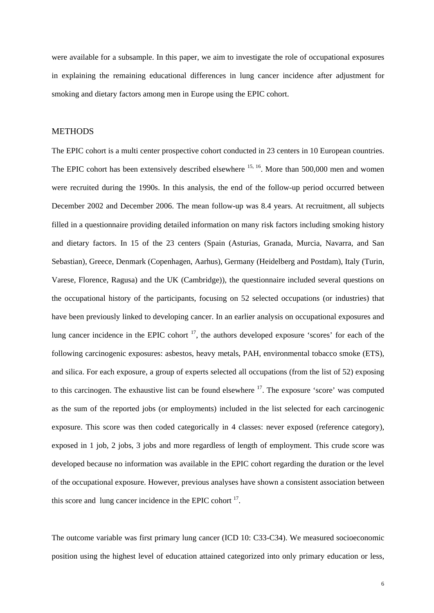were available for a subsample. In this paper, we aim to investigate the role of occupational exposures in explaining the remaining educational differences in lung cancer incidence after adjustment for smoking and dietary factors among men in Europe using the EPIC cohort.

## **METHODS**

The EPIC cohort is a multi center prospective cohort conducted in 23 centers in 10 European countries. The EPIC cohort has been extensively described elsewhere <sup>15, 16</sup>. More than 500,000 men and women were recruited during the 1990s. In this analysis, the end of the follow-up period occurred between December 2002 and December 2006. The mean follow-up was 8.4 years. At recruitment, all subjects filled in a questionnaire providing detailed information on many risk factors including smoking history and dietary factors. In 15 of the 23 centers (Spain (Asturias, Granada, Murcia, Navarra, and San Sebastian), Greece, Denmark (Copenhagen, Aarhus), Germany (Heidelberg and Postdam), Italy (Turin, Varese, Florence, Ragusa) and the UK (Cambridge)), the questionnaire included several questions on the occupational history of the participants, focusing on 52 selected occupations (or industries) that have been previously linked to developing cancer. In an earlier analysis on occupational exposures and lung cancer incidence in the EPIC cohort  $\frac{17}{17}$ , the authors developed exposure 'scores' for each of the following carcinogenic exposures: asbestos, heavy metals, PAH, environmental tobacco smoke (ETS), and silica. For each exposure, a group of experts selected all occupations (from the list of 52) exposing to this carcinogen. The exhaustive list can be found elsewhere  $17$ . The exposure 'score' was computed as the sum of the reported jobs (or employments) included in the list selected for each carcinogenic exposure. This score was then coded categorically in 4 classes: never exposed (reference category), exposed in 1 job, 2 jobs, 3 jobs and more regardless of length of employment. This crude score was developed because no information was available in the EPIC cohort regarding the duration or the level of the occupational exposure. However, previous analyses have shown a consistent association between this score and lung cancer incidence in the EPIC cohort  $17$ .

The outcome variable was first primary lung cancer (ICD 10: C33-C34). We measured socioeconomic position using the highest level of education attained categorized into only primary education or less,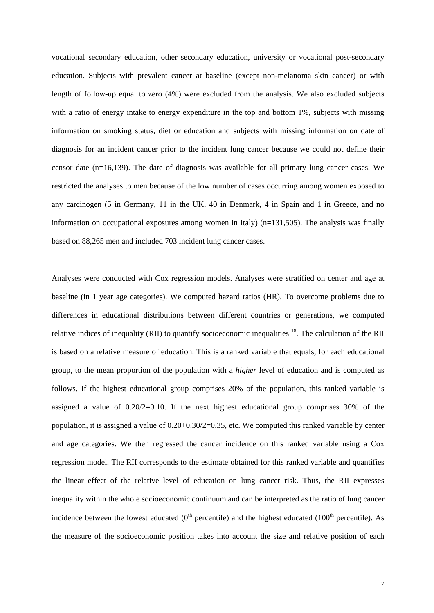vocational secondary education, other secondary education, university or vocational post-secondary education. Subjects with prevalent cancer at baseline (except non-melanoma skin cancer) or with length of follow-up equal to zero (4%) were excluded from the analysis. We also excluded subjects with a ratio of energy intake to energy expenditure in the top and bottom 1%, subjects with missing information on smoking status, diet or education and subjects with missing information on date of diagnosis for an incident cancer prior to the incident lung cancer because we could not define their censor date (n=16,139). The date of diagnosis was available for all primary lung cancer cases. We restricted the analyses to men because of the low number of cases occurring among women exposed to any carcinogen (5 in Germany, 11 in the UK, 40 in Denmark, 4 in Spain and 1 in Greece, and no information on occupational exposures among women in Italy) (n=131,505). The analysis was finally based on 88,265 men and included 703 incident lung cancer cases.

Analyses were conducted with Cox regression models. Analyses were stratified on center and age at baseline (in 1 year age categories). We computed hazard ratios (HR). To overcome problems due to differences in educational distributions between different countries or generations, we computed relative indices of inequality (RII) to quantify socioeconomic inequalities <sup>18</sup>. The calculation of the RII is based on a relative measure of education. This is a ranked variable that equals, for each educational group, to the mean proportion of the population with a *higher* level of education and is computed as follows. If the highest educational group comprises 20% of the population, this ranked variable is assigned a value of  $0.20/2=0.10$ . If the next highest educational group comprises 30% of the population, it is assigned a value of 0.20+0.30/2=0.35, etc. We computed this ranked variable by center and age categories. We then regressed the cancer incidence on this ranked variable using a Cox regression model. The RII corresponds to the estimate obtained for this ranked variable and quantifies the linear effect of the relative level of education on lung cancer risk. Thus, the RII expresses inequality within the whole socioeconomic continuum and can be interpreted as the ratio of lung cancer incidence between the lowest educated  $(0<sup>th</sup>$  percentile) and the highest educated  $(100<sup>th</sup>$  percentile). As the measure of the socioeconomic position takes into account the size and relative position of each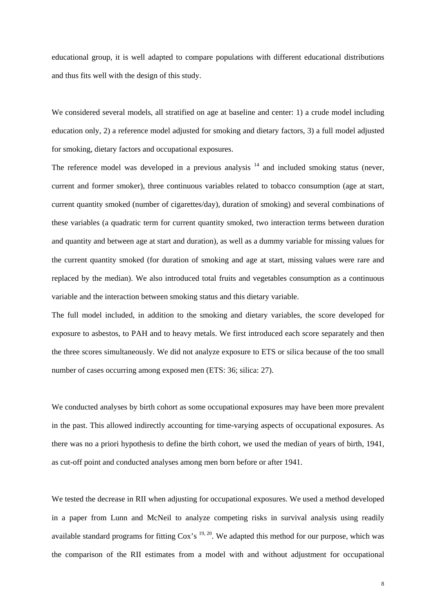educational group, it is well adapted to compare populations with different educational distributions and thus fits well with the design of this study.

We considered several models, all stratified on age at baseline and center: 1) a crude model including education only, 2) a reference model adjusted for smoking and dietary factors, 3) a full model adjusted for smoking, dietary factors and occupational exposures.

The reference model was developed in a previous analysis  $14$  and included smoking status (never, current and former smoker), three continuous variables related to tobacco consumption (age at start, current quantity smoked (number of cigarettes/day), duration of smoking) and several combinations of these variables (a quadratic term for current quantity smoked, two interaction terms between duration and quantity and between age at start and duration), as well as a dummy variable for missing values for the current quantity smoked (for duration of smoking and age at start, missing values were rare and replaced by the median). We also introduced total fruits and vegetables consumption as a continuous variable and the interaction between smoking status and this dietary variable.

The full model included, in addition to the smoking and dietary variables, the score developed for exposure to asbestos, to PAH and to heavy metals. We first introduced each score separately and then the three scores simultaneously. We did not analyze exposure to ETS or silica because of the too small number of cases occurring among exposed men (ETS: 36; silica: 27).

We conducted analyses by birth cohort as some occupational exposures may have been more prevalent in the past. This allowed indirectly accounting for time-varying aspects of occupational exposures. As there was no a priori hypothesis to define the birth cohort, we used the median of years of birth, 1941, as cut-off point and conducted analyses among men born before or after 1941.

We tested the decrease in RII when adjusting for occupational exposures. We used a method developed in a paper from Lunn and McNeil to analyze competing risks in survival analysis using readily available standard programs for fitting  $\cos$ 's  $19, 20$ . We adapted this method for our purpose, which was the comparison of the RII estimates from a model with and without adjustment for occupational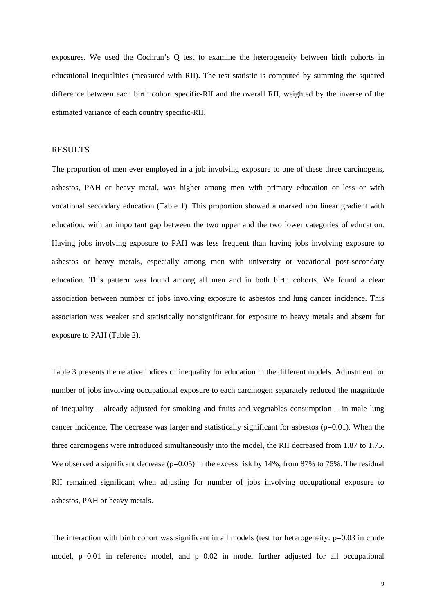exposures. We used the Cochran's Q test to examine the heterogeneity between birth cohorts in educational inequalities (measured with RII). The test statistic is computed by summing the squared difference between each birth cohort specific-RII and the overall RII, weighted by the inverse of the estimated variance of each country specific-RII.

## RESULTS

The proportion of men ever employed in a job involving exposure to one of these three carcinogens, asbestos, PAH or heavy metal, was higher among men with primary education or less or with vocational secondary education (Table 1). This proportion showed a marked non linear gradient with education, with an important gap between the two upper and the two lower categories of education. Having jobs involving exposure to PAH was less frequent than having jobs involving exposure to asbestos or heavy metals, especially among men with university or vocational post-secondary education. This pattern was found among all men and in both birth cohorts. We found a clear association between number of jobs involving exposure to asbestos and lung cancer incidence. This association was weaker and statistically nonsignificant for exposure to heavy metals and absent for exposure to PAH (Table 2).

Table 3 presents the relative indices of inequality for education in the different models. Adjustment for number of jobs involving occupational exposure to each carcinogen separately reduced the magnitude of inequality – already adjusted for smoking and fruits and vegetables consumption – in male lung cancer incidence. The decrease was larger and statistically significant for asbestos  $(p=0.01)$ . When the three carcinogens were introduced simultaneously into the model, the RII decreased from 1.87 to 1.75. We observed a significant decrease ( $p=0.05$ ) in the excess risk by 14%, from 87% to 75%. The residual RII remained significant when adjusting for number of jobs involving occupational exposure to asbestos, PAH or heavy metals.

The interaction with birth cohort was significant in all models (test for heterogeneity:  $p=0.03$  in crude model, p=0.01 in reference model, and p=0.02 in model further adjusted for all occupational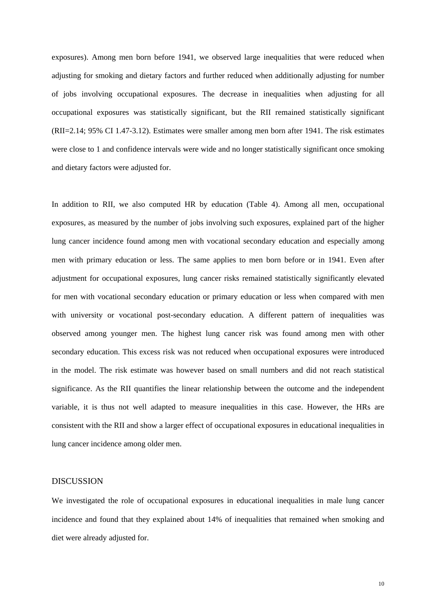exposures). Among men born before 1941, we observed large inequalities that were reduced when adjusting for smoking and dietary factors and further reduced when additionally adjusting for number of jobs involving occupational exposures. The decrease in inequalities when adjusting for all occupational exposures was statistically significant, but the RII remained statistically significant (RII=2.14; 95% CI 1.47-3.12). Estimates were smaller among men born after 1941. The risk estimates were close to 1 and confidence intervals were wide and no longer statistically significant once smoking and dietary factors were adjusted for.

In addition to RII, we also computed HR by education (Table 4). Among all men, occupational exposures, as measured by the number of jobs involving such exposures, explained part of the higher lung cancer incidence found among men with vocational secondary education and especially among men with primary education or less. The same applies to men born before or in 1941. Even after adjustment for occupational exposures, lung cancer risks remained statistically significantly elevated for men with vocational secondary education or primary education or less when compared with men with university or vocational post-secondary education. A different pattern of inequalities was observed among younger men. The highest lung cancer risk was found among men with other secondary education. This excess risk was not reduced when occupational exposures were introduced in the model. The risk estimate was however based on small numbers and did not reach statistical significance. As the RII quantifies the linear relationship between the outcome and the independent variable, it is thus not well adapted to measure inequalities in this case. However, the HRs are consistent with the RII and show a larger effect of occupational exposures in educational inequalities in lung cancer incidence among older men.

## DISCUSSION

We investigated the role of occupational exposures in educational inequalities in male lung cancer incidence and found that they explained about 14% of inequalities that remained when smoking and diet were already adjusted for.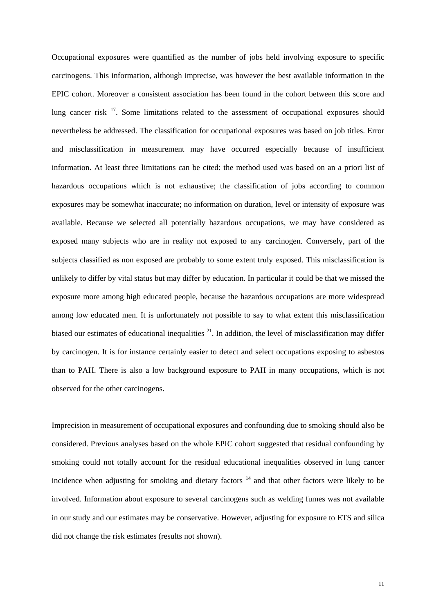Occupational exposures were quantified as the number of jobs held involving exposure to specific carcinogens. This information, although imprecise, was however the best available information in the EPIC cohort. Moreover a consistent association has been found in the cohort between this score and lung cancer risk <sup>17</sup>. Some limitations related to the assessment of occupational exposures should nevertheless be addressed. The classification for occupational exposures was based on job titles. Error and misclassification in measurement may have occurred especially because of insufficient information. At least three limitations can be cited: the method used was based on an a priori list of hazardous occupations which is not exhaustive; the classification of jobs according to common exposures may be somewhat inaccurate; no information on duration, level or intensity of exposure was available. Because we selected all potentially hazardous occupations, we may have considered as exposed many subjects who are in reality not exposed to any carcinogen. Conversely, part of the subjects classified as non exposed are probably to some extent truly exposed. This misclassification is unlikely to differ by vital status but may differ by education. In particular it could be that we missed the exposure more among high educated people, because the hazardous occupations are more widespread among low educated men. It is unfortunately not possible to say to what extent this misclassification biased our estimates of educational inequalities  $^{21}$ . In addition, the level of misclassification may differ by carcinogen. It is for instance certainly easier to detect and select occupations exposing to asbestos than to PAH. There is also a low background exposure to PAH in many occupations, which is not observed for the other carcinogens.

Imprecision in measurement of occupational exposures and confounding due to smoking should also be considered. Previous analyses based on the whole EPIC cohort suggested that residual confounding by smoking could not totally account for the residual educational inequalities observed in lung cancer incidence when adjusting for smoking and dietary factors  $14$  and that other factors were likely to be involved. Information about exposure to several carcinogens such as welding fumes was not available in our study and our estimates may be conservative. However, adjusting for exposure to ETS and silica did not change the risk estimates (results not shown).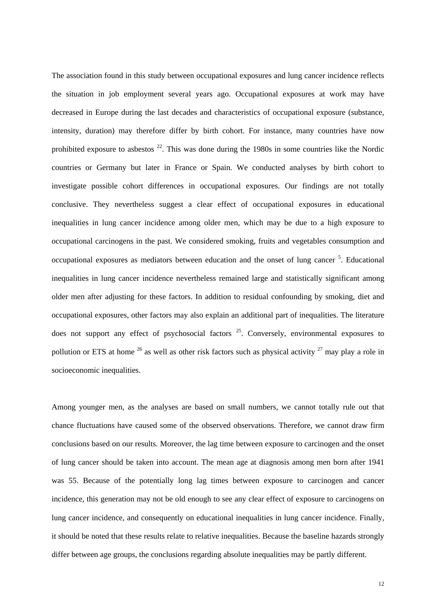The association found in this study between occupational exposures and lung cancer incidence reflects the situation in job employment several years ago. Occupational exposures at work may have decreased in Europe during the last decades and characteristics of occupational exposure (substance, intensity, duration) may therefore differ by birth cohort. For instance, many countries have now prohibited exposure to asbestos  $2^2$ . This was done during the 1980s in some countries like the Nordic countries or Germany but later in France or Spain. We conducted analyses by birth cohort to investigate possible cohort differences in occupational exposures. Our findings are not totally conclusive. They nevertheless suggest a clear effect of occupational exposures in educational inequalities in lung cancer incidence among older men, which may be due to a high exposure to occupational carcinogens in the past. We considered smoking, fruits and vegetables consumption and occupational exposures as mediators between education and the onset of lung cancer <sup>5</sup>. Educational inequalities in lung cancer incidence nevertheless remained large and statistically significant among older men after adjusting for these factors. In addition to residual confounding by smoking, diet and occupational exposures, other factors may also explain an additional part of inequalities. The literature does not support any effect of psychosocial factors  $25$ . Conversely, environmental exposures to pollution or ETS at home  $^{26}$  as well as other risk factors such as physical activity  $^{27}$  may play a role in socioeconomic inequalities.

Among younger men, as the analyses are based on small numbers, we cannot totally rule out that chance fluctuations have caused some of the observed observations. Therefore, we cannot draw firm conclusions based on our results. Moreover, the lag time between exposure to carcinogen and the onset of lung cancer should be taken into account. The mean age at diagnosis among men born after 1941 was 55. Because of the potentially long lag times between exposure to carcinogen and cancer incidence, this generation may not be old enough to see any clear effect of exposure to carcinogens on lung cancer incidence, and consequently on educational inequalities in lung cancer incidence. Finally, it should be noted that these results relate to relative inequalities. Because the baseline hazards strongly differ between age groups, the conclusions regarding absolute inequalities may be partly different.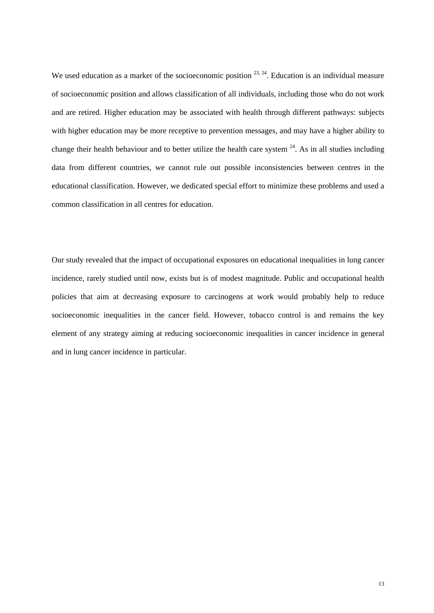We used education as a marker of the socioeconomic position  $^{23, 24}$ . Education is an individual measure of socioeconomic position and allows classification of all individuals, including those who do not work and are retired. Higher education may be associated with health through different pathways: subjects with higher education may be more receptive to prevention messages, and may have a higher ability to change their health behaviour and to better utilize the health care system  $^{24}$ . As in all studies including data from different countries, we cannot rule out possible inconsistencies between centres in the educational classification. However, we dedicated special effort to minimize these problems and used a common classification in all centres for education.

Our study revealed that the impact of occupational exposures on educational inequalities in lung cancer incidence, rarely studied until now, exists but is of modest magnitude. Public and occupational health policies that aim at decreasing exposure to carcinogens at work would probably help to reduce socioeconomic inequalities in the cancer field. However, tobacco control is and remains the key element of any strategy aiming at reducing socioeconomic inequalities in cancer incidence in general and in lung cancer incidence in particular.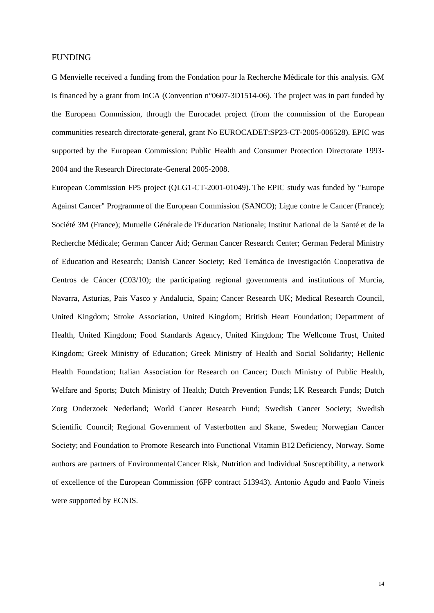### FUNDING

G Menvielle received a funding from the Fondation pour la Recherche Médicale for this analysis. GM is financed by a grant from InCA (Convention n°0607-3D1514-06). The project was in part funded by the European Commission, through the Eurocadet project (from the commission of the European communities research directorate-general, grant No EUROCADET:SP23-CT-2005-006528). EPIC was supported by the European Commission: Public Health and Consumer Protection Directorate 1993- 2004 and the Research Directorate-General 2005-2008.

European Commission FP5 project (QLG1-CT-2001-01049). The EPIC study was funded by "Europe Against Cancer" Programme of the European Commission (SANCO); Ligue contre le Cancer (France); Société 3M (France); Mutuelle Générale de l'Education Nationale; Institut National de la Santé et de la Recherche Médicale; German Cancer Aid; German Cancer Research Center; German Federal Ministry of Education and Research; Danish Cancer Society; Red Temática de Investigación Cooperativa de Centros de Cáncer (C03/10); the participating regional governments and institutions of Murcia, Navarra, Asturias, Pais Vasco y Andalucia, Spain; Cancer Research UK; Medical Research Council, United Kingdom; Stroke Association, United Kingdom; British Heart Foundation; Department of Health, United Kingdom; Food Standards Agency, United Kingdom; The Wellcome Trust, United Kingdom; Greek Ministry of Education; Greek Ministry of Health and Social Solidarity; Hellenic Health Foundation; Italian Association for Research on Cancer; Dutch Ministry of Public Health, Welfare and Sports; Dutch Ministry of Health; Dutch Prevention Funds; LK Research Funds; Dutch Zorg Onderzoek Nederland; World Cancer Research Fund; Swedish Cancer Society; Swedish Scientific Council; Regional Government of Vasterbotten and Skane, Sweden; Norwegian Cancer Society; and Foundation to Promote Research into Functional Vitamin B12 Deficiency, Norway. Some authors are partners of Environmental Cancer Risk, Nutrition and Individual Susceptibility, a network of excellence of the European Commission (6FP contract 513943). Antonio Agudo and Paolo Vineis were supported by ECNIS.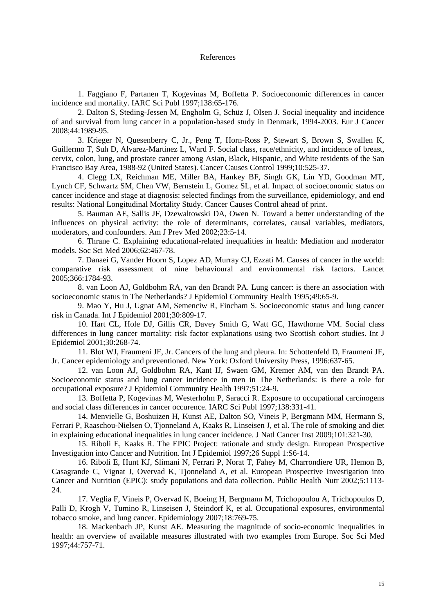#### References

 1. Faggiano F, Partanen T, Kogevinas M, Boffetta P. Socioeconomic differences in cancer incidence and mortality. IARC Sci Publ 1997;138:65-176.

 2. Dalton S, Steding-Jessen M, Engholm G, Schüz J, Olsen J. Social inequality and incidence of and survival from lung cancer in a population-based study in Denmark, 1994-2003. Eur J Cancer 2008;44:1989-95.

 3. Krieger N, Quesenberry C, Jr., Peng T, Horn-Ross P, Stewart S, Brown S, Swallen K, Guillermo T, Suh D, Alvarez-Martinez L, Ward F. Social class, race/ethnicity, and incidence of breast, cervix, colon, lung, and prostate cancer among Asian, Black, Hispanic, and White residents of the San Francisco Bay Area, 1988-92 (United States). Cancer Causes Control 1999;10:525-37.

 4. Clegg LX, Reichman ME, Miller BA, Hankey BF, Singh GK, Lin YD, Goodman MT, Lynch CF, Schwartz SM, Chen VW, Bernstein L, Gomez SL, et al. Impact of socioeconomic status on cancer incidence and stage at diagnosis: selected findings from the surveillance, epidemiology, and end results: National Longitudinal Mortality Study. Cancer Causes Control ahead of print.

 5. Bauman AE, Sallis JF, Dzewaltowski DA, Owen N. Toward a better understanding of the influences on physical activity: the role of determinants, correlates, causal variables, mediators, moderators, and confounders. Am J Prev Med 2002;23:5-14.

 6. Thrane C. Explaining educational-related inequalities in health: Mediation and moderator models. Soc Sci Med 2006;62:467-78.

 7. Danaei G, Vander Hoorn S, Lopez AD, Murray CJ, Ezzati M. Causes of cancer in the world: comparative risk assessment of nine behavioural and environmental risk factors. Lancet 2005;366:1784-93.

 8. van Loon AJ, Goldbohm RA, van den Brandt PA. Lung cancer: is there an association with socioeconomic status in The Netherlands? J Epidemiol Community Health 1995;49:65-9.

 9. Mao Y, Hu J, Ugnat AM, Semenciw R, Fincham S. Socioeconomic status and lung cancer risk in Canada. Int J Epidemiol 2001;30:809-17.

 10. Hart CL, Hole DJ, Gillis CR, Davey Smith G, Watt GC, Hawthorne VM. Social class differences in lung cancer mortality: risk factor explanations using two Scottish cohort studies. Int J Epidemiol 2001;30:268-74.

 11. Blot WJ, Fraumeni JF, Jr. Cancers of the lung and pleura. In: Schottenfeld D, Fraumeni JF, Jr. Cancer epidemiology and preventioned. New York: Oxford University Press, 1996:637-65.

 12. van Loon AJ, Goldbohm RA, Kant IJ, Swaen GM, Kremer AM, van den Brandt PA. Socioeconomic status and lung cancer incidence in men in The Netherlands: is there a role for occupational exposure? J Epidemiol Community Health 1997;51:24-9.

 13. Boffetta P, Kogevinas M, Westerholm P, Saracci R. Exposure to occupational carcinogens and social class differences in cancer occurence. IARC Sci Publ 1997;138:331-41.

 14. Menvielle G, Boshuizen H, Kunst AE, Dalton SO, Vineis P, Bergmann MM, Hermann S, Ferrari P, Raaschou-Nielsen O, Tjonneland A, Kaaks R, Linseisen J, et al. The role of smoking and diet in explaining educational inequalities in lung cancer incidence. J Natl Cancer Inst 2009;101:321-30.

 15. Riboli E, Kaaks R. The EPIC Project: rationale and study design. European Prospective Investigation into Cancer and Nutrition. Int J Epidemiol 1997;26 Suppl 1:S6-14.

 16. Riboli E, Hunt KJ, Slimani N, Ferrari P, Norat T, Fahey M, Charrondiere UR, Hemon B, Casagrande C, Vignat J, Overvad K, Tjonneland A, et al. European Prospective Investigation into Cancer and Nutrition (EPIC): study populations and data collection. Public Health Nutr 2002;5:1113- 24.

 17. Veglia F, Vineis P, Overvad K, Boeing H, Bergmann M, Trichopoulou A, Trichopoulos D, Palli D, Krogh V, Tumino R, Linseisen J, Steindorf K, et al. Occupational exposures, environmental tobacco smoke, and lung cancer. Epidemiology 2007;18:769-75.

 18. Mackenbach JP, Kunst AE. Measuring the magnitude of socio-economic inequalities in health: an overview of available measures illustrated with two examples from Europe. Soc Sci Med 1997;44:757-71.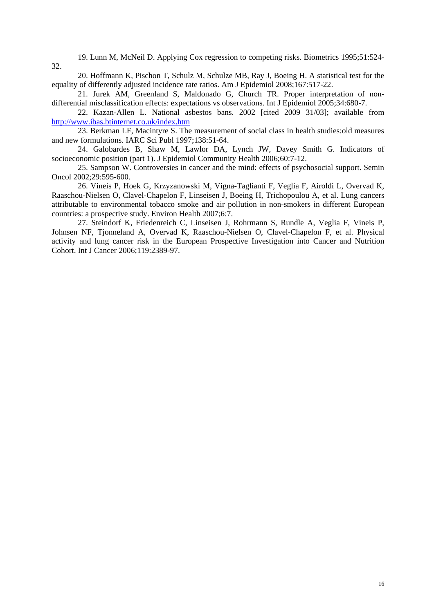19. Lunn M, McNeil D. Applying Cox regression to competing risks. Biometrics 1995;51:524- 32.

 20. Hoffmann K, Pischon T, Schulz M, Schulze MB, Ray J, Boeing H. A statistical test for the equality of differently adjusted incidence rate ratios. Am J Epidemiol 2008;167:517-22.

 21. Jurek AM, Greenland S, Maldonado G, Church TR. Proper interpretation of nondifferential misclassification effects: expectations vs observations. Int J Epidemiol 2005;34:680-7.

 22. Kazan-Allen L. National asbestos bans. 2002 [cited 2009 31/03]; available from http://www.ibas.btinternet.co.uk/index.htm

 23. Berkman LF, Macintyre S. The measurement of social class in health studies:old measures and new formulations. IARC Sci Publ 1997;138:51-64.

 24. Galobardes B, Shaw M, Lawlor DA, Lynch JW, Davey Smith G. Indicators of socioeconomic position (part 1). J Epidemiol Community Health 2006;60:7-12.

 25. Sampson W. Controversies in cancer and the mind: effects of psychosocial support. Semin Oncol 2002;29:595-600.

 26. Vineis P, Hoek G, Krzyzanowski M, Vigna-Taglianti F, Veglia F, Airoldi L, Overvad K, Raaschou-Nielsen O, Clavel-Chapelon F, Linseisen J, Boeing H, Trichopoulou A, et al. Lung cancers attributable to environmental tobacco smoke and air pollution in non-smokers in different European countries: a prospective study. Environ Health 2007;6:7.

 27. Steindorf K, Friedenreich C, Linseisen J, Rohrmann S, Rundle A, Veglia F, Vineis P, Johnsen NF, Tjonneland A, Overvad K, Raaschou-Nielsen O, Clavel-Chapelon F, et al. Physical activity and lung cancer risk in the European Prospective Investigation into Cancer and Nutrition Cohort. Int J Cancer 2006;119:2389-97.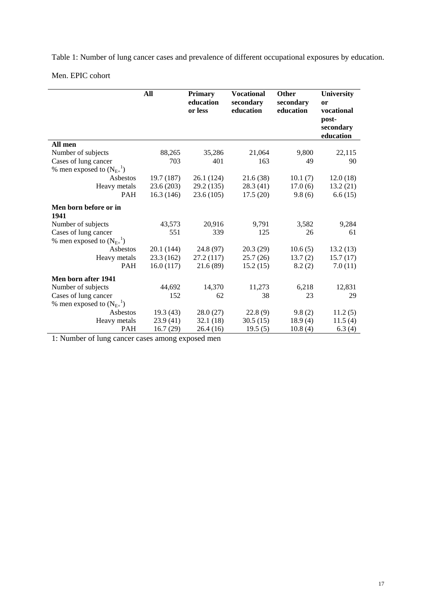Table 1: Number of lung cancer cases and prevalence of different occupational exposures by education.

Men. EPIC cohort

l.

|                                        | All        | <b>Primary</b><br>education<br>or less | <b>Vocational</b><br>secondary<br>education | Other<br>secondary<br>education | <b>University</b><br>or<br>vocational<br>post-<br>secondary<br>education |
|----------------------------------------|------------|----------------------------------------|---------------------------------------------|---------------------------------|--------------------------------------------------------------------------|
| All men                                |            |                                        |                                             |                                 |                                                                          |
| Number of subjects                     | 88,265     | 35,286                                 | 21,064                                      | 9,800                           | 22,115                                                                   |
| Cases of lung cancer                   | 703        | 401                                    | 163                                         | 49                              | 90                                                                       |
| % men exposed to $(N_{E+}^{-1})$       |            |                                        |                                             |                                 |                                                                          |
| Asbestos                               | 19.7 (187) | 26.1 (124)                             | 21.6(38)                                    | 10.1(7)                         | 12.0(18)                                                                 |
| Heavy metals                           | 23.6 (203) | 29.2 (135)                             | 28.3(41)                                    | 17.0(6)                         | 13.2(21)                                                                 |
| PAH                                    | 16.3(146)  | 23.6(105)                              | 17.5(20)                                    | 9.8(6)                          | 6.6(15)                                                                  |
| Men born before or in<br>1941          |            |                                        |                                             |                                 |                                                                          |
| Number of subjects                     | 43,573     | 20,916                                 | 9,791                                       | 3,582                           | 9,284                                                                    |
| Cases of lung cancer                   | 551        | 339                                    | 125                                         | 26                              | 61                                                                       |
| % men exposed to $(N_{E+}^{-1})$       |            |                                        |                                             |                                 |                                                                          |
| Asbestos                               | 20.1 (144) | 24.8 (97)                              | 20.3(29)                                    | 10.6(5)                         | 13.2(13)                                                                 |
| Heavy metals                           | 23.3 (162) | 27.2 (117)                             | 25.7(26)                                    | 13.7(2)                         | 15.7(17)                                                                 |
| PAH                                    | 16.0(117)  | 21.6(89)                               | 15.2(15)                                    | 8.2(2)                          | 7.0(11)                                                                  |
| Men born after 1941                    |            |                                        |                                             |                                 |                                                                          |
| Number of subjects                     | 44,692     | 14,370                                 | 11,273                                      | 6,218                           | 12,831                                                                   |
| Cases of lung cancer                   | 152        | 62                                     | 38                                          | 23                              | 29                                                                       |
| % men exposed to $(N_{E+}^{\qquad 1})$ |            |                                        |                                             |                                 |                                                                          |
| Asbestos                               | 19.3(43)   | 28.0(27)                               | 22.8(9)                                     | 9.8(2)                          | 11.2(5)                                                                  |
| Heavy metals                           | 23.9(41)   | 32.1(18)                               | 30.5(15)                                    | 18.9(4)                         | 11.5(4)                                                                  |
| <b>PAH</b>                             | 16.7(29)   | 26.4(16)                               | 19.5(5)                                     | 10.8(4)                         | 6.3(4)                                                                   |

1: Number of lung cancer cases among exposed men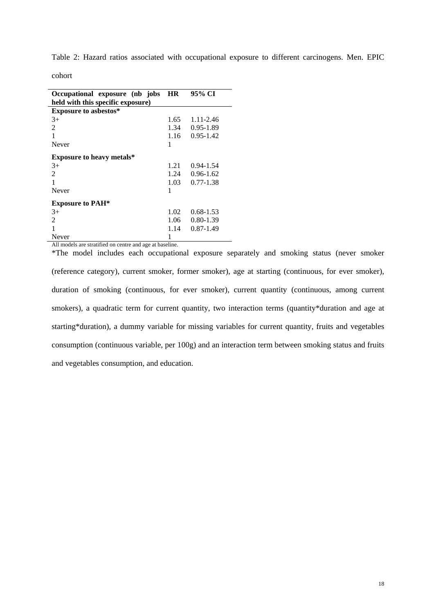Table 2: Hazard ratios associated with occupational exposure to different carcinogens. Men. EPIC

| Occupational exposure (nb jobs    | <b>HR</b> | 95% CI        |  |  |  |
|-----------------------------------|-----------|---------------|--|--|--|
| held with this specific exposure) |           |               |  |  |  |
| <b>Exposure to asbestos*</b>      |           |               |  |  |  |
| $3+$                              | 1.65      | 1.11-2.46     |  |  |  |
| $\mathfrak{D}$                    | 1.34      | 0.95-1.89     |  |  |  |
|                                   | 1.16      | $0.95 - 1.42$ |  |  |  |
| Never                             | 1         |               |  |  |  |
| <b>Exposure to heavy metals*</b>  |           |               |  |  |  |
| $3+$                              | 1.21      | $0.94 - 1.54$ |  |  |  |
| 2                                 | 1.24      | $0.96 - 1.62$ |  |  |  |
| 1                                 | $1.03 -$  | $0.77 - 1.38$ |  |  |  |
| Never                             | 1         |               |  |  |  |
| <b>Exposure to PAH*</b>           |           |               |  |  |  |
| $3+$                              | 1.02      | $0.68 - 1.53$ |  |  |  |
| $\mathfrak{D}$                    | 1.06      | $0.80 - 1.39$ |  |  |  |
|                                   | 1.14      | $0.87 - 1.49$ |  |  |  |
| Never                             | 1         |               |  |  |  |

All models are stratified on centre and age at baseline.

\*The model includes each occupational exposure separately and smoking status (never smoker (reference category), current smoker, former smoker), age at starting (continuous, for ever smoker), duration of smoking (continuous, for ever smoker), current quantity (continuous, among current smokers), a quadratic term for current quantity, two interaction terms (quantity\*duration and age at starting\*duration), a dummy variable for missing variables for current quantity, fruits and vegetables consumption (continuous variable, per 100g) and an interaction term between smoking status and fruits and vegetables consumption, and education.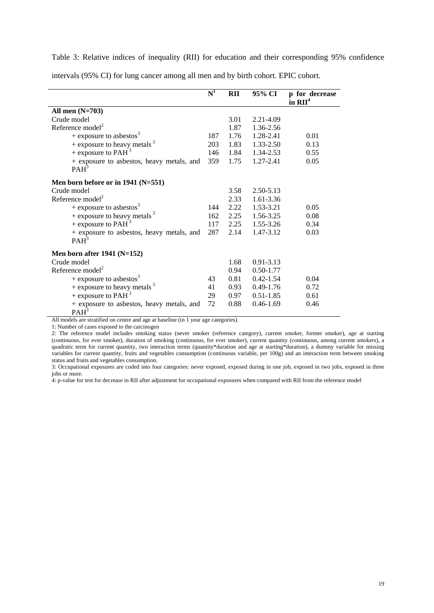Table 3: Relative indices of inequality (RII) for education and their corresponding 95% confidence

|                                           | $\overline{\mathrm{N}}^1$ | <b>RII</b> | 95% CI        | p for decrease |
|-------------------------------------------|---------------------------|------------|---------------|----------------|
|                                           |                           |            |               | in $RII4$      |
| All men $(N=703)$                         |                           |            |               |                |
| Crude model                               |                           | 3.01       | 2.21-4.09     |                |
| Reference model <sup>2</sup>              |                           | 1.87       | 1.36-2.56     |                |
| + exposure to asbestos <sup>3</sup>       | 187                       | 1.76       | 1.28-2.41     | 0.01           |
| + exposure to heavy metals $3$            | 203                       | 1.83       | 1.33-2.50     | 0.13           |
| + exposure to PAH $^3$                    | 146                       | 1.84       | 1.34-2.53     | 0.55           |
| + exposure to asbestos, heavy metals, and | 359                       | 1.75       | 1.27-2.41     | 0.05           |
| PAH <sup>3</sup>                          |                           |            |               |                |
| Men born before or in $1941$ (N=551)      |                           |            |               |                |
| Crude model                               |                           | 3.58       | 2.50-5.13     |                |
| Reference model <sup>2</sup>              |                           | 2.33       | 1.61-3.36     |                |
| + exposure to asbestos <sup>3</sup>       | 144                       | 2.22       | 1.53-3.21     | 0.05           |
| + exposure to heavy metals $3$            | 162                       | 2.25       | 1.56-3.25     | 0.08           |
| + exposure to PAH <sup>3</sup>            | 117                       | 2.25       | 1.55-3.26     | 0.34           |
| + exposure to asbestos, heavy metals, and | 287                       | 2.14       | 1.47-3.12     | 0.03           |
| PAH <sup>3</sup>                          |                           |            |               |                |
| Men born after $1941$ (N=152)             |                           |            |               |                |
| Crude model                               |                           | 1.68       | $0.91 - 3.13$ |                |
| Reference $model2$                        |                           | 0.94       | $0.50 - 1.77$ |                |
| + exposure to asbestos <sup>3</sup>       | 43                        | 0.81       | $0.42 - 1.54$ | 0.04           |
| + exposure to heavy metals $3$            | 41                        | 0.93       | $0.49 - 1.76$ | 0.72           |
| + exposure to PAH <sup>3</sup>            | 29                        | 0.97       | $0.51 - 1.85$ | 0.61           |
| + exposure to asbestos, heavy metals, and | 72                        | 0.88       | $0.46 - 1.69$ | 0.46           |
| PAH <sup>3</sup>                          |                           |            |               |                |

intervals (95% CI) for lung cancer among all men and by birth cohort. EPIC cohort.

All models are stratified on centre and age at baseline (in 1 year age categories).

1: Number of cases exposed to the carcinogen

2: The reference model includes smoking status (never smoker (reference category), current smoker, former smoker), age at starting (continuous, for ever smoker), duration of smoking (continuous, for ever smoker), current quantity (continuous, among current smokers), a quadratic term for current quantity, two interaction terms (quantity\*duration and age at starting\*duration), a dummy variable for missing variables for current quantity, fruits and vegetables consumption (continuous variable, per 100g) and an interaction term between smoking status and fruits and vegetables consumption.

3: Occupational exposures are coded into four categories: never exposed, exposed during in one job, exposed in two jobs, exposed in three jobs or more.

4: p-value for test for decrease in RII after adjustment for occupational exposures when compared with RII from the reference model